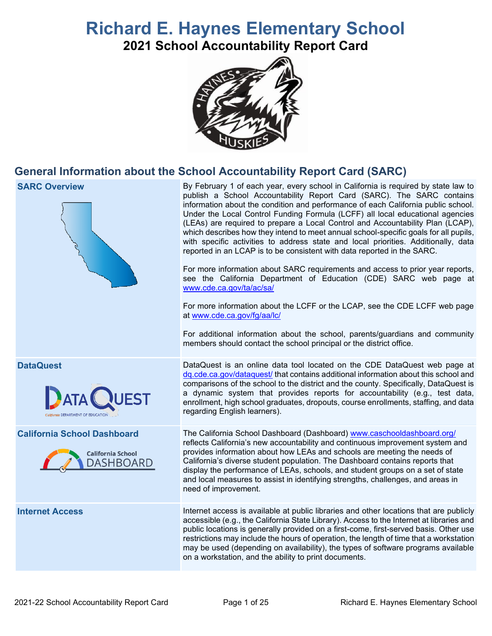# **Richard E. Haynes Elementary School**

**2021 School Accountability Report Card**



# **General Information about the School Accountability Report Card (SARC)**

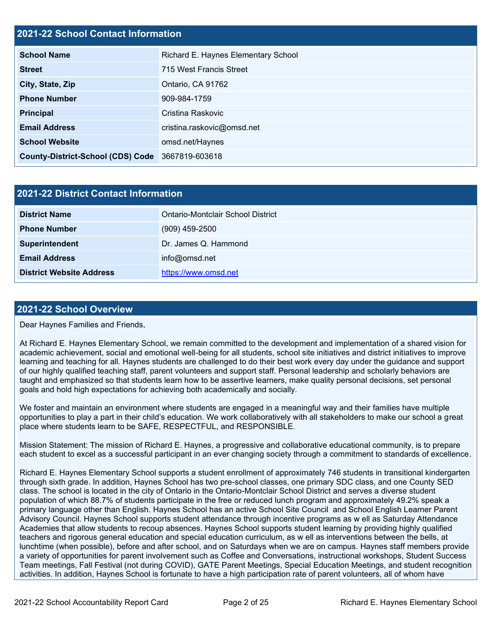### **2021-22 School Contact Information**

| <b>School Name</b>                       | Richard E. Haynes Elementary School |  |  |  |
|------------------------------------------|-------------------------------------|--|--|--|
| <b>Street</b>                            | 715 West Francis Street             |  |  |  |
| City, State, Zip                         | Ontario, CA 91762                   |  |  |  |
| <b>Phone Number</b>                      | 909-984-1759                        |  |  |  |
| <b>Principal</b>                         | Cristina Raskovic                   |  |  |  |
| <b>Email Address</b>                     | cristina.raskovic@omsd.net          |  |  |  |
| <b>School Website</b>                    | omsd.net/Haynes                     |  |  |  |
| <b>County-District-School (CDS) Code</b> | 3667819-603618                      |  |  |  |

| 2021-22 District Contact Information |                                   |  |
|--------------------------------------|-----------------------------------|--|
| <b>District Name</b>                 | Ontario-Montclair School District |  |
| <b>Phone Number</b>                  | $(909)$ 459-2500                  |  |
| Superintendent                       | Dr. James Q. Hammond              |  |
| <b>Email Address</b>                 | info@omsd.net                     |  |
| <b>District Website Address</b>      | https://www.omsd.net              |  |

#### **2021-22 School Overview**

Dear Haynes Families and Friends,

At Richard E. Haynes Elementary School, we remain committed to the development and implementation of a shared vision for academic achievement, social and emotional well-being for all students, school site initiatives and district initiatives to improve learning and teaching for all. Haynes students are challenged to do their best work every day under the guidance and support of our highly qualified teaching staff, parent volunteers and support staff. Personal leadership and scholarly behaviors are taught and emphasized so that students learn how to be assertive learners, make quality personal decisions, set personal goals and hold high expectations for achieving both academically and socially.

We foster and maintain an environment where students are engaged in a meaningful way and their families have multiple opportunities to play a part in their child's education. We work collaboratively with all stakeholders to make our school a great place where students learn to be SAFE, RESPECTFUL, and RESPONSIBLE.

Mission Statement: The mission of Richard E. Haynes, a progressive and collaborative educational community, is to prepare each student to excel as a successful participant in an ever changing society through a commitment to standards of excellence.

Richard E. Haynes Elementary School supports a student enrollment of approximately 746 students in transitional kindergarten through sixth grade. In addition, Haynes School has two pre-school classes, one primary SDC class, and one County SED class. The school is located in the city of Ontario in the Ontario-Montclair School District and serves a diverse student population of which 88.7% of students participate in the free or reduced lunch program and approximately 49.2% speak a primary language other than English. Haynes School has an active School Site Council and School English Learner Parent Advisory Council. Haynes School supports student attendance through incentive programs as w ell as Saturday Attendance Academies that allow students to recoup absences. Haynes School supports student learning by providing highly qualified teachers and rigorous general education and special education curriculum, as w ell as interventions between the bells, at lunchtime (when possible), before and after school, and on Saturdays when we are on campus. Haynes staff members provide a variety of opportunities for parent involvement such as Coffee and Conversations, instructional workshops, Student Success Team meetings, Fall Festival (not during COVID), GATE Parent Meetings, Special Education Meetings, and student recognition activities. In addition, Haynes School is fortunate to have a high participation rate of parent volunteers, all of whom have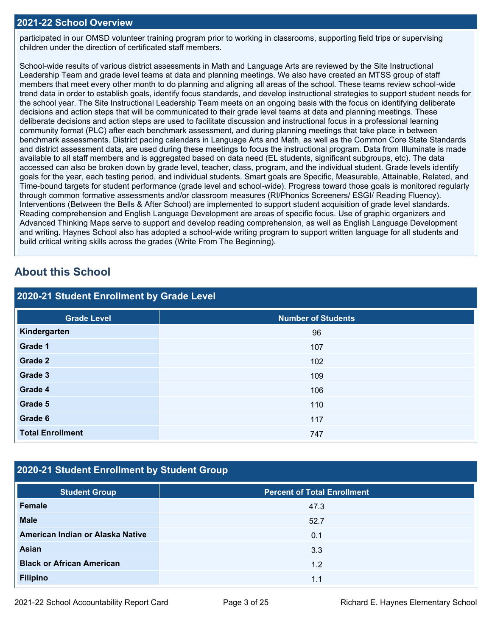#### **2021-22 School Overview**

participated in our OMSD volunteer training program prior to working in classrooms, supporting field trips or supervising children under the direction of certificated staff members.

School-wide results of various district assessments in Math and Language Arts are reviewed by the Site Instructional Leadership Team and grade level teams at data and planning meetings. We also have created an MTSS group of staff members that meet every other month to do planning and aligning all areas of the school. These teams review school-wide trend data in order to establish goals, identify focus standards, and develop instructional strategies to support student needs for the school year. The Site Instructional Leadership Team meets on an ongoing basis with the focus on identifying deliberate decisions and action steps that will be communicated to their grade level teams at data and planning meetings. These deliberate decisions and action steps are used to facilitate discussion and instructional focus in a professional learning community format (PLC) after each benchmark assessment, and during planning meetings that take place in between benchmark assessments. District pacing calendars in Language Arts and Math, as well as the Common Core State Standards and district assessment data, are used during these meetings to focus the instructional program. Data from Illuminate is made available to all staff members and is aggregated based on data need (EL students, significant subgroups, etc). The data accessed can also be broken down by grade level, teacher, class, program, and the individual student. Grade levels identify goals for the year, each testing period, and individual students. Smart goals are Specific, Measurable, Attainable, Related, and Time-bound targets for student performance (grade level and school-wide). Progress toward those goals is monitored regularly through common formative assessments and/or classroom measures (RI/Phonics Screeners/ ESGI/ Reading Fluency). Interventions (Between the Bells & After School) are implemented to support student acquisition of grade level standards. Reading comprehension and English Language Development are areas of specific focus. Use of graphic organizers and Advanced Thinking Maps serve to support and develop reading comprehension, as well as English Language Development and writing. Haynes School also has adopted a school-wide writing program to support written language for all students and build critical writing skills across the grades (Write From The Beginning).

# **About this School**

| 2020-21 Student Enrollment by Grade Level |                           |  |  |  |
|-------------------------------------------|---------------------------|--|--|--|
| <b>Grade Level</b>                        | <b>Number of Students</b> |  |  |  |
| Kindergarten                              | 96                        |  |  |  |
| Grade 1                                   | 107                       |  |  |  |
| Grade 2                                   | 102                       |  |  |  |
| Grade 3                                   | 109                       |  |  |  |
| Grade 4                                   | 106                       |  |  |  |
| Grade 5                                   | 110                       |  |  |  |
| Grade 6                                   | 117                       |  |  |  |
| <b>Total Enrollment</b>                   | 747                       |  |  |  |

# **2020-21 Student Enrollment by Student Group**

| <b>Student Group</b>             | <b>Percent of Total Enrollment</b> |
|----------------------------------|------------------------------------|
| Female                           | 47.3                               |
| <b>Male</b>                      | 52.7                               |
| American Indian or Alaska Native | 0.1                                |
| Asian                            | 3.3                                |
| <b>Black or African American</b> | 1.2                                |
| <b>Filipino</b>                  | 1.1                                |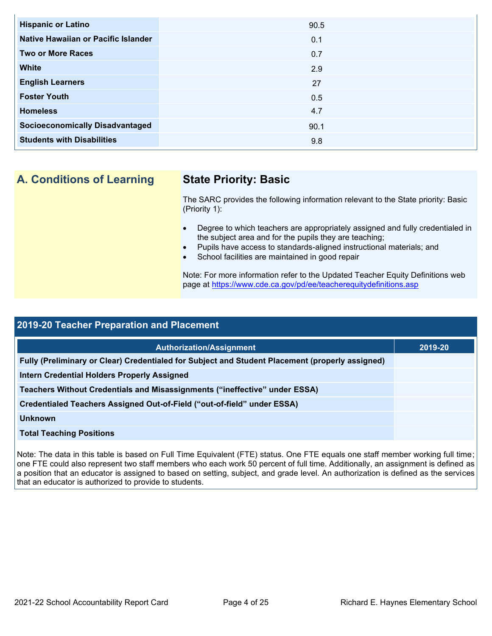| <b>Hispanic or Latino</b>              | 90.5 |
|----------------------------------------|------|
| Native Hawaiian or Pacific Islander    | 0.1  |
| <b>Two or More Races</b>               | 0.7  |
| <b>White</b>                           | 2.9  |
| <b>English Learners</b>                | 27   |
| <b>Foster Youth</b>                    | 0.5  |
| <b>Homeless</b>                        | 4.7  |
| <b>Socioeconomically Disadvantaged</b> | 90.1 |
| <b>Students with Disabilities</b>      | 9.8  |
|                                        |      |

**A. Conditions of Learning State Priority: Basic**

The SARC provides the following information relevant to the State priority: Basic (Priority 1):

- Degree to which teachers are appropriately assigned and fully credentialed in the subject area and for the pupils they are teaching;
- Pupils have access to standards-aligned instructional materials; and
- School facilities are maintained in good repair

Note: For more information refer to the Updated Teacher Equity Definitions web page at<https://www.cde.ca.gov/pd/ee/teacherequitydefinitions.asp>

| <b>2019-20 Teacher Preparation and Placement</b>                                                |         |  |  |
|-------------------------------------------------------------------------------------------------|---------|--|--|
| <b>Authorization/Assignment</b>                                                                 | 2019-20 |  |  |
| Fully (Preliminary or Clear) Credentialed for Subject and Student Placement (properly assigned) |         |  |  |
| <b>Intern Credential Holders Properly Assigned</b>                                              |         |  |  |
| Teachers Without Credentials and Misassignments ("ineffective" under ESSA)                      |         |  |  |
| Credentialed Teachers Assigned Out-of-Field ("out-of-field" under ESSA)                         |         |  |  |
| <b>Unknown</b>                                                                                  |         |  |  |
| <b>Total Teaching Positions</b>                                                                 |         |  |  |
|                                                                                                 |         |  |  |

Note: The data in this table is based on Full Time Equivalent (FTE) status. One FTE equals one staff member working full time; one FTE could also represent two staff members who each work 50 percent of full time. Additionally, an assignment is defined as a position that an educator is assigned to based on setting, subject, and grade level. An authorization is defined as the services that an educator is authorized to provide to students.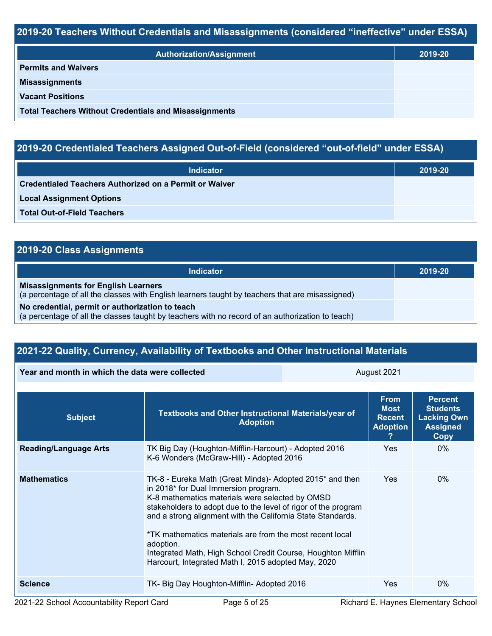# **2019-20 Teachers Without Credentials and Misassignments (considered "ineffective" under ESSA)**

| <b>Authorization/Assignment</b>                              | 2019-20 |
|--------------------------------------------------------------|---------|
| <b>Permits and Waivers</b>                                   |         |
| <b>Misassignments</b>                                        |         |
| <b>Vacant Positions</b>                                      |         |
| <b>Total Teachers Without Credentials and Misassignments</b> |         |

# **2019-20 Credentialed Teachers Assigned Out-of-Field (considered "out-of-field" under ESSA)**

| <b>Indicator</b>                                       | 2019-20 |
|--------------------------------------------------------|---------|
| Credentialed Teachers Authorized on a Permit or Waiver |         |
| <b>Local Assignment Options</b>                        |         |
| <b>Total Out-of-Field Teachers</b>                     |         |

# **2019-20 Class Assignments**

| Indicator                                                                                                                                           | 2019-20 |
|-----------------------------------------------------------------------------------------------------------------------------------------------------|---------|
| <b>Misassignments for English Learners</b><br>(a percentage of all the classes with English learners taught by teachers that are misassigned)       |         |
| No credential, permit or authorization to teach<br>(a percentage of all the classes taught by teachers with no record of an authorization to teach) |         |

# **2021-22 Quality, Currency, Availability of Textbooks and Other Instructional Materials**

| Year and month in which the data were collected |                                                                                                                                                                                                                                                                                                                                                                                                                                                                                                   | August 2021                                                    |                                                                                    |  |
|-------------------------------------------------|---------------------------------------------------------------------------------------------------------------------------------------------------------------------------------------------------------------------------------------------------------------------------------------------------------------------------------------------------------------------------------------------------------------------------------------------------------------------------------------------------|----------------------------------------------------------------|------------------------------------------------------------------------------------|--|
| <b>Subject</b>                                  | Textbooks and Other Instructional Materials/year of<br><b>Adoption</b>                                                                                                                                                                                                                                                                                                                                                                                                                            | <b>From</b><br><b>Most</b><br><b>Recent</b><br><b>Adoption</b> | <b>Percent</b><br><b>Students</b><br><b>Lacking Own</b><br><b>Assigned</b><br>Copy |  |
| <b>Reading/Language Arts</b>                    | TK Big Day (Houghton-Mifflin-Harcourt) - Adopted 2016<br>K-6 Wonders (McGraw-Hill) - Adopted 2016                                                                                                                                                                                                                                                                                                                                                                                                 | <b>Yes</b>                                                     | $0\%$                                                                              |  |
| <b>Mathematics</b>                              | TK-8 - Eureka Math (Great Minds) - Adopted 2015 <sup>*</sup> and then<br>in 2018* for Dual Immersion program.<br>K-8 mathematics materials were selected by OMSD<br>stakeholders to adopt due to the level of rigor of the program<br>and a strong alignment with the California State Standards.<br>*TK mathematics materials are from the most recent local<br>adoption.<br>Integrated Math, High School Credit Course, Houghton Mifflin<br>Harcourt, Integrated Math I, 2015 adopted May, 2020 | Yes                                                            | $0\%$                                                                              |  |
| <b>Science</b>                                  | TK- Big Day Houghton-Mifflin- Adopted 2016                                                                                                                                                                                                                                                                                                                                                                                                                                                        | Yes                                                            | $0\%$                                                                              |  |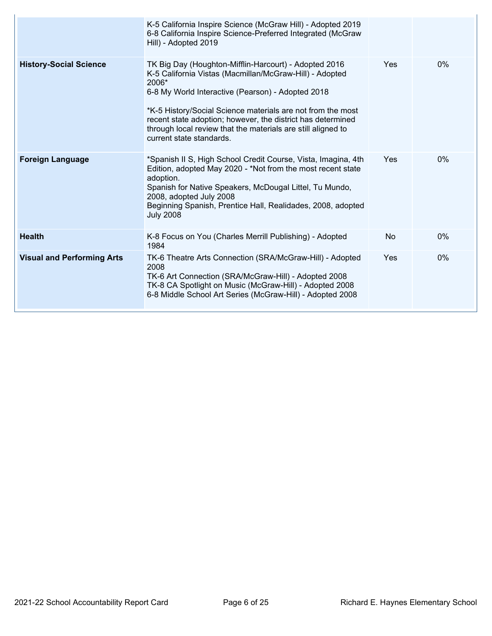|                                   | K-5 California Inspire Science (McGraw Hill) - Adopted 2019<br>6-8 California Inspire Science-Preferred Integrated (McGraw<br>Hill) - Adopted 2019                                                                                                                                                                                                                                                       |                |       |
|-----------------------------------|----------------------------------------------------------------------------------------------------------------------------------------------------------------------------------------------------------------------------------------------------------------------------------------------------------------------------------------------------------------------------------------------------------|----------------|-------|
| <b>History-Social Science</b>     | TK Big Day (Houghton-Mifflin-Harcourt) - Adopted 2016<br>K-5 California Vistas (Macmillan/McGraw-Hill) - Adopted<br>2006*<br>6-8 My World Interactive (Pearson) - Adopted 2018<br>*K-5 History/Social Science materials are not from the most<br>recent state adoption; however, the district has determined<br>through local review that the materials are still aligned to<br>current state standards. | Yes            | $0\%$ |
| <b>Foreign Language</b>           | *Spanish II S, High School Credit Course, Vista, Imagina, 4th<br>Edition, adopted May 2020 - *Not from the most recent state<br>adoption.<br>Spanish for Native Speakers, McDougal Littel, Tu Mundo,<br>2008, adopted July 2008<br>Beginning Spanish, Prentice Hall, Realidades, 2008, adopted<br><b>July 2008</b>                                                                                       | Yes            | $0\%$ |
| <b>Health</b>                     | K-8 Focus on You (Charles Merrill Publishing) - Adopted<br>1984                                                                                                                                                                                                                                                                                                                                          | N <sub>o</sub> | 0%    |
| <b>Visual and Performing Arts</b> | TK-6 Theatre Arts Connection (SRA/McGraw-Hill) - Adopted<br>2008<br>TK-6 Art Connection (SRA/McGraw-Hill) - Adopted 2008<br>TK-8 CA Spotlight on Music (McGraw-Hill) - Adopted 2008<br>6-8 Middle School Art Series (McGraw-Hill) - Adopted 2008                                                                                                                                                         | Yes            | 0%    |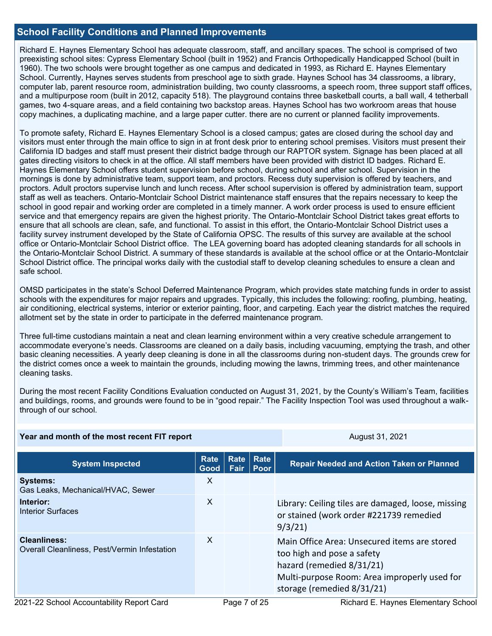#### **School Facility Conditions and Planned Improvements**

Richard E. Haynes Elementary School has adequate classroom, staff, and ancillary spaces. The school is comprised of two preexisting school sites: Cypress Elementary School (built in 1952) and Francis Orthopedically Handicapped School (built in 1960). The two schools were brought together as one campus and dedicated in 1993, as Richard E. Haynes Elementary School. Currently, Haynes serves students from preschool age to sixth grade. Haynes School has 34 classrooms, a library, computer lab, parent resource room, administration building, two county classrooms, a speech room, three support staff offices, and a multipurpose room (built in 2012, capacity 518). The playground contains three basketball courts, a ball wall, 4 tetherball games, two 4-square areas, and a field containing two backstop areas. Haynes School has two workroom areas that house copy machines, a duplicating machine, and a large paper cutter. there are no current or planned facility improvements.

To promote safety, Richard E. Haynes Elementary School is a closed campus; gates are closed during the school day and visitors must enter through the main office to sign in at front desk prior to entering school premises. Visitors must present their California ID badges and staff must present their district badge through our RAPTOR system. Signage has been placed at all gates directing visitors to check in at the office. All staff members have been provided with district ID badges. Richard E. Haynes Elementary School offers student supervision before school, during school and after school. Supervision in the mornings is done by administrative team, support team, and proctors. Recess duty supervision is offered by teachers, and proctors. Adult proctors supervise lunch and lunch recess. After school supervision is offered by administration team, support staff as well as teachers. Ontario-Montclair School District maintenance staff ensures that the repairs necessary to keep the school in good repair and working order are completed in a timely manner. A work order process is used to ensure efficient service and that emergency repairs are given the highest priority. The Ontario-Montclair School District takes great efforts to ensure that all schools are clean, safe, and functional. To assist in this effort, the Ontario-Montclair School District uses a facility survey instrument developed by the State of California OPSC. The results of this survey are available at the school office or Ontario-Montclair School District office. The LEA governing board has adopted cleaning standards for all schools in the Ontario-Montclair School District. A summary of these standards is available at the school office or at the Ontario-Montclair School District office. The principal works daily with the custodial staff to develop cleaning schedules to ensure a clean and safe school.

OMSD participates in the state's School Deferred Maintenance Program, which provides state matching funds in order to assist schools with the expenditures for major repairs and upgrades. Typically, this includes the following: roofing, plumbing, heating, air conditioning, electrical systems, interior or exterior painting, floor, and carpeting. Each year the district matches the required allotment set by the state in order to participate in the deferred maintenance program.

Three full-time custodians maintain a neat and clean learning environment within a very creative schedule arrangement to accommodate everyone's needs. Classrooms are cleaned on a daily basis, including vacuuming, emptying the trash, and other basic cleaning necessities. A yearly deep cleaning is done in all the classrooms during non-student days. The grounds crew for the district comes once a week to maintain the grounds, including mowing the lawns, trimming trees, and other maintenance cleaning tasks.

During the most recent Facility Conditions Evaluation conducted on August 31, 2021, by the County's William's Team, facilities and buildings, rooms, and grounds were found to be in "good repair." The Facility Inspection Tool was used throughout a walkthrough of our school.

**Year and month of the most recent FIT report** August 31, 2021

| <b>System Inspected</b>                                             | <b>Rate</b><br>Good | <b>Rate</b><br>Fair | <b>Rate</b><br><b>Poor</b> | <b>Repair Needed and Action Taken or Planned</b>                                                                                                                                      |
|---------------------------------------------------------------------|---------------------|---------------------|----------------------------|---------------------------------------------------------------------------------------------------------------------------------------------------------------------------------------|
| <b>Systems:</b><br>Gas Leaks, Mechanical/HVAC, Sewer                | X                   |                     |                            |                                                                                                                                                                                       |
| Interior:<br><b>Interior Surfaces</b>                               | X                   |                     |                            | Library: Ceiling tiles are damaged, loose, missing<br>or stained (work order #221739 remedied<br>9/3/21                                                                               |
| <b>Cleanliness:</b><br>Overall Cleanliness, Pest/Vermin Infestation | X                   |                     |                            | Main Office Area: Unsecured items are stored<br>too high and pose a safety<br>hazard (remedied 8/31/21)<br>Multi-purpose Room: Area improperly used for<br>storage (remedied 8/31/21) |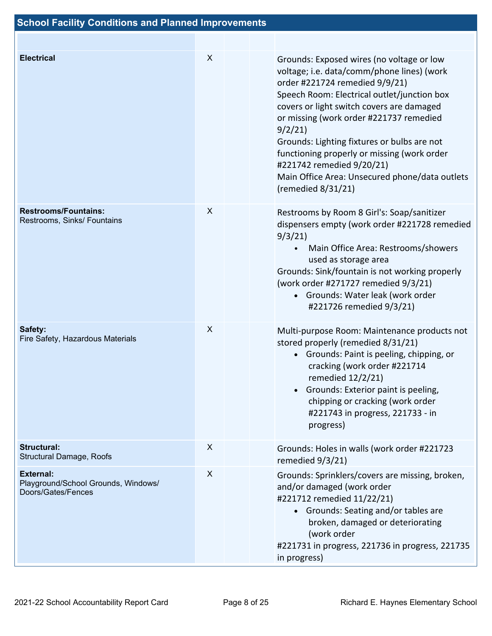| <b>Electrical</b>                                                             | X | Grounds: Exposed wires (no voltage or low<br>voltage; i.e. data/comm/phone lines) (work<br>order #221724 remedied 9/9/21)<br>Speech Room: Electrical outlet/junction box<br>covers or light switch covers are damaged<br>or missing (work order #221737 remedied<br>9/2/21<br>Grounds: Lighting fixtures or bulbs are not<br>functioning properly or missing (work order<br>#221742 remedied 9/20/21)<br>Main Office Area: Unsecured phone/data outlets<br>(remedied $8/31/21$ ) |
|-------------------------------------------------------------------------------|---|----------------------------------------------------------------------------------------------------------------------------------------------------------------------------------------------------------------------------------------------------------------------------------------------------------------------------------------------------------------------------------------------------------------------------------------------------------------------------------|
| <b>Restrooms/Fountains:</b><br>Restrooms, Sinks/ Fountains                    | X | Restrooms by Room 8 Girl's: Soap/sanitizer<br>dispensers empty (work order #221728 remedied<br>9/3/21<br>Main Office Area: Restrooms/showers<br>used as storage area<br>Grounds: Sink/fountain is not working properly<br>(work order #271727 remedied 9/3/21)<br>• Grounds: Water leak (work order<br>#221726 remedied 9/3/21)                                                                                                                                                  |
| Safety:<br>Fire Safety, Hazardous Materials                                   | X | Multi-purpose Room: Maintenance products not<br>stored properly (remedied 8/31/21)<br>• Grounds: Paint is peeling, chipping, or<br>cracking (work order #221714<br>remedied 12/2/21)<br>Grounds: Exterior paint is peeling,<br>$\bullet$<br>chipping or cracking (work order<br>#221743 in progress, 221733 - in<br>progress)                                                                                                                                                    |
| <b>Structural:</b><br>Structural Damage, Roofs                                | X | Grounds: Holes in walls (work order #221723<br>remedied 9/3/21)                                                                                                                                                                                                                                                                                                                                                                                                                  |
| <b>External:</b><br>Playground/School Grounds, Windows/<br>Doors/Gates/Fences | X | Grounds: Sprinklers/covers are missing, broken,<br>and/or damaged (work order<br>#221712 remedied 11/22/21)<br>• Grounds: Seating and/or tables are<br>broken, damaged or deteriorating<br>(work order<br>#221731 in progress, 221736 in progress, 221735<br>in progress)                                                                                                                                                                                                        |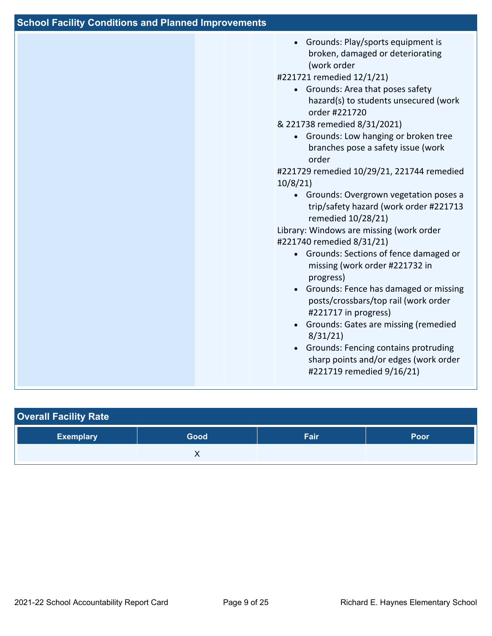| <b>School Facility Conditions and Planned Improvements</b> |                                                                                                                                                                                                                                                                                                                                                                                                                                                                                                                                                                                                                                                                                                                                                                                                                                                                                                                                                                                         |
|------------------------------------------------------------|-----------------------------------------------------------------------------------------------------------------------------------------------------------------------------------------------------------------------------------------------------------------------------------------------------------------------------------------------------------------------------------------------------------------------------------------------------------------------------------------------------------------------------------------------------------------------------------------------------------------------------------------------------------------------------------------------------------------------------------------------------------------------------------------------------------------------------------------------------------------------------------------------------------------------------------------------------------------------------------------|
|                                                            | • Grounds: Play/sports equipment is<br>broken, damaged or deteriorating<br>(work order<br>#221721 remedied 12/1/21)<br>• Grounds: Area that poses safety<br>hazard(s) to students unsecured (work<br>order #221720<br>& 221738 remedied 8/31/2021)<br>• Grounds: Low hanging or broken tree<br>branches pose a safety issue (work<br>order<br>#221729 remedied 10/29/21, 221744 remedied<br>10/8/21<br>• Grounds: Overgrown vegetation poses a<br>trip/safety hazard (work order #221713<br>remedied 10/28/21)<br>Library: Windows are missing (work order<br>#221740 remedied 8/31/21)<br>• Grounds: Sections of fence damaged or<br>missing (work order #221732 in<br>progress)<br>• Grounds: Fence has damaged or missing<br>posts/crossbars/top rail (work order<br>#221717 in progress)<br>Grounds: Gates are missing (remedied<br>$\bullet$<br>8/31/21<br>Grounds: Fencing contains protruding<br>$\bullet$<br>sharp points and/or edges (work order<br>#221719 remedied 9/16/21) |

| <b>Overall Facility Rate</b> |      |      |             |
|------------------------------|------|------|-------------|
| <b>Exemplary</b>             | Good | Fair | <b>Poor</b> |
|                              |      |      |             |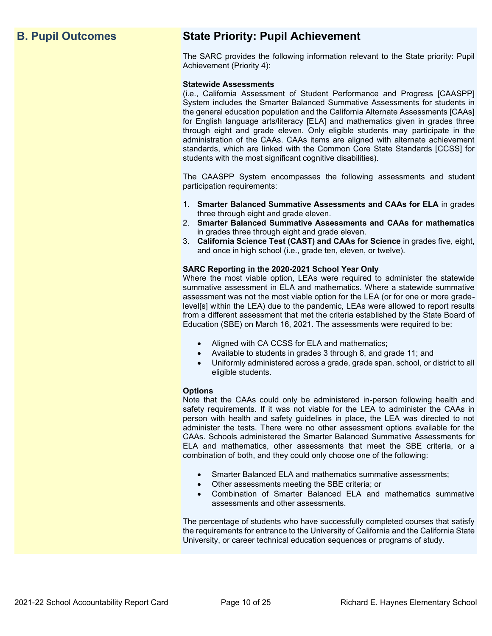# **B. Pupil Outcomes State Priority: Pupil Achievement**

The SARC provides the following information relevant to the State priority: Pupil Achievement (Priority 4):

#### **Statewide Assessments**

(i.e., California Assessment of Student Performance and Progress [CAASPP] System includes the Smarter Balanced Summative Assessments for students in the general education population and the California Alternate Assessments [CAAs] for English language arts/literacy [ELA] and mathematics given in grades three through eight and grade eleven. Only eligible students may participate in the administration of the CAAs. CAAs items are aligned with alternate achievement standards, which are linked with the Common Core State Standards [CCSS] for students with the most significant cognitive disabilities).

The CAASPP System encompasses the following assessments and student participation requirements:

- 1. **Smarter Balanced Summative Assessments and CAAs for ELA** in grades three through eight and grade eleven.
- 2. **Smarter Balanced Summative Assessments and CAAs for mathematics** in grades three through eight and grade eleven.
- 3. **California Science Test (CAST) and CAAs for Science** in grades five, eight, and once in high school (i.e., grade ten, eleven, or twelve).

#### **SARC Reporting in the 2020-2021 School Year Only**

Where the most viable option, LEAs were required to administer the statewide summative assessment in ELA and mathematics. Where a statewide summative assessment was not the most viable option for the LEA (or for one or more gradelevel[s] within the LEA) due to the pandemic, LEAs were allowed to report results from a different assessment that met the criteria established by the State Board of Education (SBE) on March 16, 2021. The assessments were required to be:

- Aligned with CA CCSS for ELA and mathematics;
- Available to students in grades 3 through 8, and grade 11; and
- Uniformly administered across a grade, grade span, school, or district to all eligible students.

#### **Options**

Note that the CAAs could only be administered in-person following health and safety requirements. If it was not viable for the LEA to administer the CAAs in person with health and safety guidelines in place, the LEA was directed to not administer the tests. There were no other assessment options available for the CAAs. Schools administered the Smarter Balanced Summative Assessments for ELA and mathematics, other assessments that meet the SBE criteria, or a combination of both, and they could only choose one of the following:

- Smarter Balanced ELA and mathematics summative assessments;
- Other assessments meeting the SBE criteria; or
- Combination of Smarter Balanced ELA and mathematics summative assessments and other assessments.

The percentage of students who have successfully completed courses that satisfy the requirements for entrance to the University of California and the California State University, or career technical education sequences or programs of study.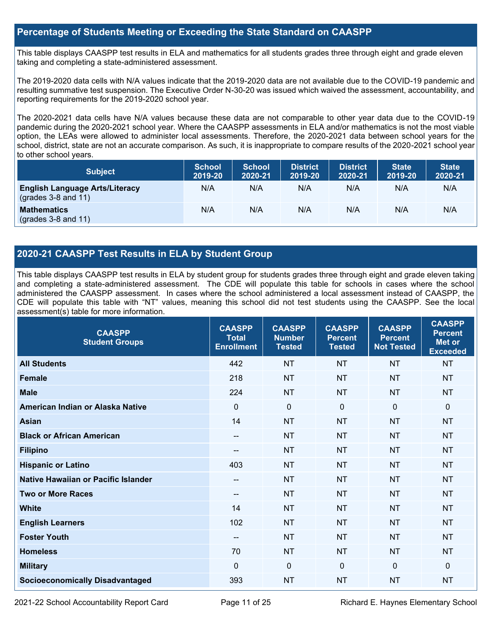### **Percentage of Students Meeting or Exceeding the State Standard on CAASPP**

This table displays CAASPP test results in ELA and mathematics for all students grades three through eight and grade eleven taking and completing a state-administered assessment.

The 2019-2020 data cells with N/A values indicate that the 2019-2020 data are not available due to the COVID-19 pandemic and resulting summative test suspension. The Executive Order N-30-20 was issued which waived the assessment, accountability, and reporting requirements for the 2019-2020 school year.

The 2020-2021 data cells have N/A values because these data are not comparable to other year data due to the COVID-19 pandemic during the 2020-2021 school year. Where the CAASPP assessments in ELA and/or mathematics is not the most viable option, the LEAs were allowed to administer local assessments. Therefore, the 2020-2021 data between school years for the school, district, state are not an accurate comparison. As such, it is inappropriate to compare results of the 2020-2021 school year to other school years.

| <b>Subject</b>                                                       | <b>School</b><br>2019-20 | <b>School</b><br>2020-21 | <b>District</b><br>2019-20 | <b>District</b><br>2020-21 | <b>State</b><br>2019-20 | <b>State</b><br>2020-21 |
|----------------------------------------------------------------------|--------------------------|--------------------------|----------------------------|----------------------------|-------------------------|-------------------------|
| <b>English Language Arts/Literacy</b><br>$\left($ grades 3-8 and 11) | N/A                      | N/A                      | N/A                        | N/A                        | N/A                     | N/A                     |
| <b>Mathematics</b><br>$(grades 3-8 and 11)$                          | N/A                      | N/A                      | N/A                        | N/A                        | N/A                     | N/A                     |

## **2020-21 CAASPP Test Results in ELA by Student Group**

This table displays CAASPP test results in ELA by student group for students grades three through eight and grade eleven taking and completing a state-administered assessment. The CDE will populate this table for schools in cases where the school administered the CAASPP assessment. In cases where the school administered a local assessment instead of CAASPP, the CDE will populate this table with "NT" values, meaning this school did not test students using the CAASPP. See the local assessment(s) table for more information.

| <b>CAASPP</b><br><b>Student Groups</b> | <b>CAASPP</b><br><b>Total</b><br><b>Enrollment</b> | <b>CAASPP</b><br><b>Number</b><br><b>Tested</b> | <b>CAASPP</b><br><b>Percent</b><br><b>Tested</b> | <b>CAASPP</b><br><b>Percent</b><br><b>Not Tested</b> | <b>CAASPP</b><br><b>Percent</b><br>Met or<br><b>Exceeded</b> |
|----------------------------------------|----------------------------------------------------|-------------------------------------------------|--------------------------------------------------|------------------------------------------------------|--------------------------------------------------------------|
| <b>All Students</b>                    | 442                                                | <b>NT</b>                                       | <b>NT</b>                                        | <b>NT</b>                                            | <b>NT</b>                                                    |
| <b>Female</b>                          | 218                                                | <b>NT</b>                                       | <b>NT</b>                                        | <b>NT</b>                                            | <b>NT</b>                                                    |
| <b>Male</b>                            | 224                                                | <b>NT</b>                                       | <b>NT</b>                                        | <b>NT</b>                                            | <b>NT</b>                                                    |
| American Indian or Alaska Native       | $\mathbf 0$                                        | $\mathbf 0$                                     | $\Omega$                                         | $\mathbf 0$                                          | $\mathbf 0$                                                  |
| <b>Asian</b>                           | 14                                                 | <b>NT</b>                                       | <b>NT</b>                                        | <b>NT</b>                                            | <b>NT</b>                                                    |
| <b>Black or African American</b>       | --                                                 | <b>NT</b>                                       | <b>NT</b>                                        | <b>NT</b>                                            | <b>NT</b>                                                    |
| <b>Filipino</b>                        | --                                                 | <b>NT</b>                                       | <b>NT</b>                                        | <b>NT</b>                                            | <b>NT</b>                                                    |
| <b>Hispanic or Latino</b>              | 403                                                | <b>NT</b>                                       | <b>NT</b>                                        | <b>NT</b>                                            | <b>NT</b>                                                    |
| Native Hawaiian or Pacific Islander    | --                                                 | <b>NT</b>                                       | <b>NT</b>                                        | <b>NT</b>                                            | <b>NT</b>                                                    |
| <b>Two or More Races</b>               | --                                                 | <b>NT</b>                                       | <b>NT</b>                                        | <b>NT</b>                                            | <b>NT</b>                                                    |
| <b>White</b>                           | 14                                                 | <b>NT</b>                                       | <b>NT</b>                                        | <b>NT</b>                                            | <b>NT</b>                                                    |
| <b>English Learners</b>                | 102                                                | <b>NT</b>                                       | <b>NT</b>                                        | <b>NT</b>                                            | <b>NT</b>                                                    |
| <b>Foster Youth</b>                    | --                                                 | <b>NT</b>                                       | <b>NT</b>                                        | <b>NT</b>                                            | <b>NT</b>                                                    |
| <b>Homeless</b>                        | 70                                                 | <b>NT</b>                                       | <b>NT</b>                                        | <b>NT</b>                                            | NT                                                           |
| <b>Military</b>                        | $\mathbf{0}$                                       | $\mathbf 0$                                     | $\Omega$                                         | $\Omega$                                             | $\Omega$                                                     |
| <b>Socioeconomically Disadvantaged</b> | 393                                                | <b>NT</b>                                       | <b>NT</b>                                        | <b>NT</b>                                            | <b>NT</b>                                                    |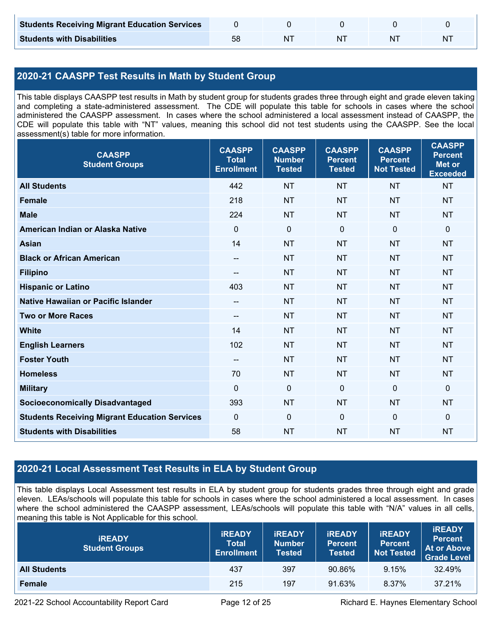| <b>Students Receiving Migrant Education Services</b> |    |  |   |
|------------------------------------------------------|----|--|---|
| <b>Students with Disabilities</b>                    | N1 |  | N |

# **2020-21 CAASPP Test Results in Math by Student Group**

This table displays CAASPP test results in Math by student group for students grades three through eight and grade eleven taking and completing a state-administered assessment. The CDE will populate this table for schools in cases where the school administered the CAASPP assessment. In cases where the school administered a local assessment instead of CAASPP, the CDE will populate this table with "NT" values, meaning this school did not test students using the CAASPP. See the local assessment(s) table for more information.

| <b>CAASPP</b><br><b>Student Groups</b>               | <b>CAASPP</b><br><b>Total</b><br><b>Enrollment</b> | <b>CAASPP</b><br><b>Number</b><br><b>Tested</b> | <b>CAASPP</b><br><b>Percent</b><br><b>Tested</b> | <b>CAASPP</b><br><b>Percent</b><br><b>Not Tested</b> | <b>CAASPP</b><br><b>Percent</b><br><b>Met or</b><br><b>Exceeded</b> |
|------------------------------------------------------|----------------------------------------------------|-------------------------------------------------|--------------------------------------------------|------------------------------------------------------|---------------------------------------------------------------------|
| <b>All Students</b>                                  | 442                                                | <b>NT</b>                                       | <b>NT</b>                                        | <b>NT</b>                                            | <b>NT</b>                                                           |
| <b>Female</b>                                        | 218                                                | <b>NT</b>                                       | <b>NT</b>                                        | <b>NT</b>                                            | <b>NT</b>                                                           |
| <b>Male</b>                                          | 224                                                | <b>NT</b>                                       | <b>NT</b>                                        | <b>NT</b>                                            | <b>NT</b>                                                           |
| American Indian or Alaska Native                     | $\mathbf 0$                                        | $\mathbf 0$                                     | $\mathbf 0$                                      | $\mathbf 0$                                          | $\mathbf 0$                                                         |
| <b>Asian</b>                                         | 14                                                 | <b>NT</b>                                       | <b>NT</b>                                        | <b>NT</b>                                            | <b>NT</b>                                                           |
| <b>Black or African American</b>                     | $\hspace{0.05cm}$ – $\hspace{0.05cm}$              | <b>NT</b>                                       | <b>NT</b>                                        | <b>NT</b>                                            | <b>NT</b>                                                           |
| <b>Filipino</b>                                      |                                                    | <b>NT</b>                                       | <b>NT</b>                                        | <b>NT</b>                                            | <b>NT</b>                                                           |
| <b>Hispanic or Latino</b>                            | 403                                                | <b>NT</b>                                       | <b>NT</b>                                        | <b>NT</b>                                            | <b>NT</b>                                                           |
| <b>Native Hawaiian or Pacific Islander</b>           | $-$                                                | <b>NT</b>                                       | <b>NT</b>                                        | <b>NT</b>                                            | <b>NT</b>                                                           |
| <b>Two or More Races</b>                             | --                                                 | <b>NT</b>                                       | <b>NT</b>                                        | <b>NT</b>                                            | <b>NT</b>                                                           |
| <b>White</b>                                         | 14                                                 | <b>NT</b>                                       | <b>NT</b>                                        | <b>NT</b>                                            | <b>NT</b>                                                           |
| <b>English Learners</b>                              | 102                                                | <b>NT</b>                                       | <b>NT</b>                                        | <b>NT</b>                                            | <b>NT</b>                                                           |
| <b>Foster Youth</b>                                  | $\hspace{0.05cm}$ – $\hspace{0.05cm}$              | <b>NT</b>                                       | <b>NT</b>                                        | <b>NT</b>                                            | <b>NT</b>                                                           |
| <b>Homeless</b>                                      | 70                                                 | <b>NT</b>                                       | <b>NT</b>                                        | <b>NT</b>                                            | <b>NT</b>                                                           |
| <b>Military</b>                                      | $\mathbf{0}$                                       | $\mathbf 0$                                     | $\mathbf 0$                                      | $\mathbf 0$                                          | $\mathbf 0$                                                         |
| <b>Socioeconomically Disadvantaged</b>               | 393                                                | <b>NT</b>                                       | <b>NT</b>                                        | <b>NT</b>                                            | <b>NT</b>                                                           |
| <b>Students Receiving Migrant Education Services</b> | $\mathbf 0$                                        | $\mathbf 0$                                     | $\mathbf 0$                                      | $\mathbf 0$                                          | $\mathbf 0$                                                         |
| <b>Students with Disabilities</b>                    | 58                                                 | <b>NT</b>                                       | <b>NT</b>                                        | <b>NT</b>                                            | <b>NT</b>                                                           |

# **2020-21 Local Assessment Test Results in ELA by Student Group**

This table displays Local Assessment test results in ELA by student group for students grades three through eight and grade eleven. LEAs/schools will populate this table for schools in cases where the school administered a local assessment. In cases where the school administered the CAASPP assessment, LEAs/schools will populate this table with "N/A" values in all cells, meaning this table is Not Applicable for this school.

| <b>IREADY</b><br><b>Student Groups</b> | <b>IREADY</b><br><b>Total</b><br><b>Enrollment</b> | <b><i>IREADY</i></b><br><b>Number</b><br>Tested | <b>IREADY</b><br><b>Percent</b><br><b>Tested</b> | <b>IREADY</b><br>Percent<br><b>Not Tested</b> | <b>IREADY</b><br><b>Percent</b><br>At or Above<br><b>Grade Level</b> |
|----------------------------------------|----------------------------------------------------|-------------------------------------------------|--------------------------------------------------|-----------------------------------------------|----------------------------------------------------------------------|
| <b>All Students</b>                    | 437                                                | 397                                             | 90.86%                                           | 9.15%                                         | 32.49%                                                               |
| Female                                 | 215                                                | 197                                             | 91.63%                                           | 8.37%                                         | 37.21%                                                               |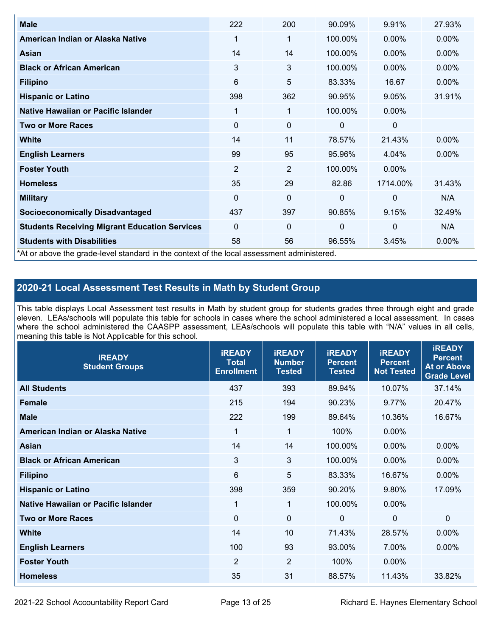| <b>Male</b>                                                                                | 222            | 200            | 90.09%       | 9.91%        | 27.93%   |
|--------------------------------------------------------------------------------------------|----------------|----------------|--------------|--------------|----------|
| American Indian or Alaska Native                                                           | 1              | 1              | 100.00%      | $0.00\%$     | 0.00%    |
| Asian                                                                                      | 14             | 14             | 100.00%      | $0.00\%$     | $0.00\%$ |
| <b>Black or African American</b>                                                           | 3              | 3              | 100.00%      | $0.00\%$     | 0.00%    |
| <b>Filipino</b>                                                                            | 6              | 5              | 83.33%       | 16.67        | 0.00%    |
| <b>Hispanic or Latino</b>                                                                  | 398            | 362            | 90.95%       | 9.05%        | 31.91%   |
| Native Hawaiian or Pacific Islander                                                        | 1              | 1              | 100.00%      | $0.00\%$     |          |
| <b>Two or More Races</b>                                                                   | 0              | 0              | 0            | 0            |          |
| <b>White</b>                                                                               | 14             | 11             | 78.57%       | 21.43%       | $0.00\%$ |
| <b>English Learners</b>                                                                    | 99             | 95             | 95.96%       | 4.04%        | $0.00\%$ |
| <b>Foster Youth</b>                                                                        | $\overline{2}$ | $\overline{2}$ | 100.00%      | $0.00\%$     |          |
| <b>Homeless</b>                                                                            | 35             | 29             | 82.86        | 1714.00%     | 31.43%   |
| <b>Military</b>                                                                            | $\Omega$       | 0              | $\mathbf{0}$ | $\mathbf{0}$ | N/A      |
| <b>Socioeconomically Disadvantaged</b>                                                     | 437            | 397            | 90.85%       | 9.15%        | 32.49%   |
| <b>Students Receiving Migrant Education Services</b>                                       | 0              | 0              | 0            | $\mathbf 0$  | N/A      |
| <b>Students with Disabilities</b>                                                          | 58             | 56             | 96.55%       | 3.45%        | 0.00%    |
| *At or above the grade-level standard in the context of the local assessment administered. |                |                |              |              |          |

# **2020-21 Local Assessment Test Results in Math by Student Group**

This table displays Local Assessment test results in Math by student group for students grades three through eight and grade eleven. LEAs/schools will populate this table for schools in cases where the school administered a local assessment. In cases where the school administered the CAASPP assessment, LEAs/schools will populate this table with "N/A" values in all cells, meaning this table is Not Applicable for this school.

| <b>IREADY</b><br><b>Student Groups</b> | <b>IREADY</b><br><b>Total</b><br><b>Enrollment</b> | <b>IREADY</b><br><b>Number</b><br><b>Tested</b> | <b>iREADY</b><br><b>Percent</b><br><b>Tested</b> | <b>IREADY</b><br><b>Percent</b><br><b>Not Tested</b> | <b>IREADY</b><br><b>Percent</b><br><b>At or Above</b><br><b>Grade Level</b> |
|----------------------------------------|----------------------------------------------------|-------------------------------------------------|--------------------------------------------------|------------------------------------------------------|-----------------------------------------------------------------------------|
| <b>All Students</b>                    | 437                                                | 393                                             | 89.94%                                           | 10.07%                                               | 37.14%                                                                      |
| <b>Female</b>                          | 215                                                | 194                                             | 90.23%                                           | 9.77%                                                | 20.47%                                                                      |
| <b>Male</b>                            | 222                                                | 199                                             | 89.64%                                           | 10.36%                                               | 16.67%                                                                      |
| American Indian or Alaska Native       | 1                                                  | 1                                               | 100%                                             | 0.00%                                                |                                                                             |
| Asian                                  | 14                                                 | 14                                              | 100.00%                                          | 0.00%                                                | 0.00%                                                                       |
| <b>Black or African American</b>       | 3                                                  | 3                                               | 100.00%                                          | 0.00%                                                | 0.00%                                                                       |
| <b>Filipino</b>                        | 6                                                  | 5                                               | 83.33%                                           | 16.67%                                               | $0.00\%$                                                                    |
| <b>Hispanic or Latino</b>              | 398                                                | 359                                             | 90.20%                                           | 9.80%                                                | 17.09%                                                                      |
| Native Hawaiian or Pacific Islander    | 1                                                  | $\mathbf{1}$                                    | 100.00%                                          | 0.00%                                                |                                                                             |
| <b>Two or More Races</b>               | $\Omega$                                           | $\mathbf 0$                                     | $\mathbf{0}$                                     | $\mathbf 0$                                          | $\Omega$                                                                    |
| <b>White</b>                           | 14                                                 | 10                                              | 71.43%                                           | 28.57%                                               | $0.00\%$                                                                    |
| <b>English Learners</b>                | 100                                                | 93                                              | 93.00%                                           | 7.00%                                                | 0.00%                                                                       |
| <b>Foster Youth</b>                    | $\overline{2}$                                     | $\overline{2}$                                  | 100%                                             | 0.00%                                                |                                                                             |
| <b>Homeless</b>                        | 35                                                 | 31                                              | 88.57%                                           | 11.43%                                               | 33.82%                                                                      |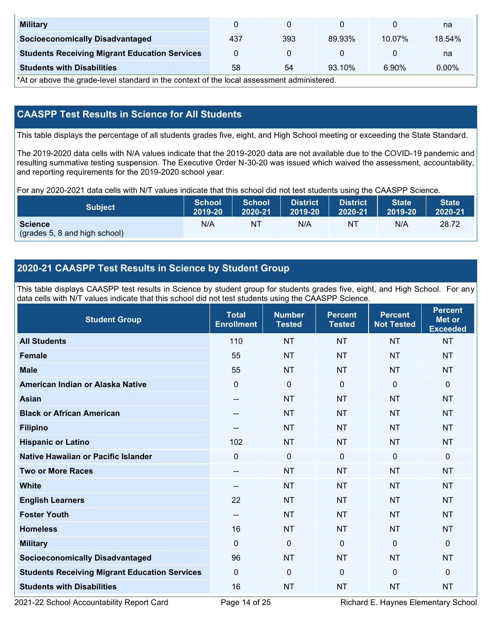| <b>Military</b>                                      |     |     |        |           | na       |
|------------------------------------------------------|-----|-----|--------|-----------|----------|
| <b>Socioeconomically Disadvantaged</b>               | 437 | 393 | 89.93% | $10.07\%$ | 18.54%   |
| <b>Students Receiving Migrant Education Services</b> |     |     |        |           | na       |
| <b>Students with Disabilities</b>                    | 58  | 54  | 93.10% | 6.90%     | $0.00\%$ |

\*At or above the grade-level standard in the context of the local assessment administered.

# **CAASPP Test Results in Science for All Students**

This table displays the percentage of all students grades five, eight, and High School meeting or exceeding the State Standard.

The 2019-2020 data cells with N/A values indicate that the 2019-2020 data are not available due to the COVID-19 pandemic and resulting summative testing suspension. The Executive Order N-30-20 was issued which waived the assessment, accountability, and reporting requirements for the 2019-2020 school year.

For any 2020-2021 data cells with N/T values indicate that this school did not test students using the CAASPP Science.

| <b>Subject</b>                                  | <b>School</b> | <b>School</b> | <b>District</b> | <b>District</b> | <b>State</b> | <b>State</b> |
|-------------------------------------------------|---------------|---------------|-----------------|-----------------|--------------|--------------|
|                                                 | 2019-20       | 2020-21       | 2019-20         | 2020-21         | 2019-20      | 2020-21      |
| <b>Science</b><br>(grades 5, 8 and high school) | N/A           | ΝT            | N/A             | N1              | N/A          | 28.72        |

# **2020-21 CAASPP Test Results in Science by Student Group**

This table displays CAASPP test results in Science by student group for students grades five, eight, and High School. For any data cells with N/T values indicate that this school did not test students using the CAASPP Science.

| <b>Student Group</b>                                 | <b>Total</b><br><b>Enrollment</b> | <b>Number</b><br><b>Tested</b> | <b>Percent</b><br><b>Tested</b> | <b>Percent</b><br><b>Not Tested</b> | <b>Percent</b><br><b>Met or</b><br><b>Exceeded</b> |
|------------------------------------------------------|-----------------------------------|--------------------------------|---------------------------------|-------------------------------------|----------------------------------------------------|
| <b>All Students</b>                                  | 110                               | <b>NT</b>                      | <b>NT</b>                       | <b>NT</b>                           | <b>NT</b>                                          |
| <b>Female</b>                                        | 55                                | <b>NT</b>                      | <b>NT</b>                       | <b>NT</b>                           | <b>NT</b>                                          |
| <b>Male</b>                                          | 55                                | <b>NT</b>                      | <b>NT</b>                       | <b>NT</b>                           | <b>NT</b>                                          |
| American Indian or Alaska Native                     | $\mathbf 0$                       | $\mathbf 0$                    | $\mathbf 0$                     | $\mathbf 0$                         | 0                                                  |
| <b>Asian</b>                                         | $\qquad \qquad -$                 | <b>NT</b>                      | <b>NT</b>                       | <b>NT</b>                           | <b>NT</b>                                          |
| <b>Black or African American</b>                     | $- -$                             | <b>NT</b>                      | <b>NT</b>                       | <b>NT</b>                           | <b>NT</b>                                          |
| <b>Filipino</b>                                      | $\qquad \qquad -$                 | NT                             | <b>NT</b>                       | <b>NT</b>                           | NT                                                 |
| <b>Hispanic or Latino</b>                            | 102                               | <b>NT</b>                      | <b>NT</b>                       | <b>NT</b>                           | <b>NT</b>                                          |
| <b>Native Hawaiian or Pacific Islander</b>           | $\mathbf 0$                       | $\mathbf 0$                    | $\mathbf 0$                     | $\mathbf{0}$                        | 0                                                  |
| <b>Two or More Races</b>                             | $\qquad \qquad -$                 | <b>NT</b>                      | <b>NT</b>                       | <b>NT</b>                           | <b>NT</b>                                          |
| <b>White</b>                                         | $\qquad \qquad -$                 | <b>NT</b>                      | <b>NT</b>                       | <b>NT</b>                           | <b>NT</b>                                          |
| <b>English Learners</b>                              | 22                                | <b>NT</b>                      | <b>NT</b>                       | <b>NT</b>                           | <b>NT</b>                                          |
| <b>Foster Youth</b>                                  | $\overline{\phantom{a}}$          | <b>NT</b>                      | <b>NT</b>                       | <b>NT</b>                           | <b>NT</b>                                          |
| <b>Homeless</b>                                      | 16                                | <b>NT</b>                      | <b>NT</b>                       | <b>NT</b>                           | NT                                                 |
| <b>Military</b>                                      | $\mathbf 0$                       | $\mathbf 0$                    | $\mathbf 0$                     | $\mathbf{0}$                        | $\mathbf{0}$                                       |
| <b>Socioeconomically Disadvantaged</b>               | 96                                | <b>NT</b>                      | <b>NT</b>                       | <b>NT</b>                           | <b>NT</b>                                          |
| <b>Students Receiving Migrant Education Services</b> | $\mathbf 0$                       | 0                              | $\mathbf{0}$                    | $\mathbf{0}$                        | 0                                                  |
| <b>Students with Disabilities</b>                    | 16                                | <b>NT</b>                      | <b>NT</b>                       | <b>NT</b>                           | <b>NT</b>                                          |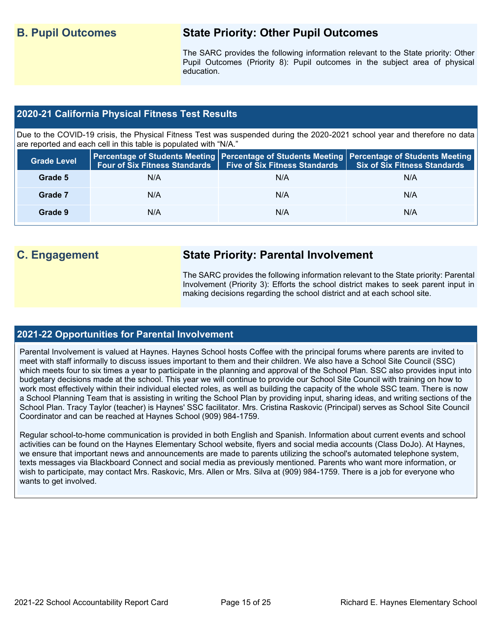# **B. Pupil Outcomes State Priority: Other Pupil Outcomes**

The SARC provides the following information relevant to the State priority: Other Pupil Outcomes (Priority 8): Pupil outcomes in the subject area of physical education.

### **2020-21 California Physical Fitness Test Results**

Due to the COVID-19 crisis, the Physical Fitness Test was suspended during the 2020-2021 school year and therefore no data are reported and each cell in this table is populated with "N/A."

| <b>Grade Level</b> | <b>Four of Six Fitness Standards</b> | Five of Six Fitness Standards   Six of Six Fitness Standards | <b>Percentage of Students Meeting   Percentage of Students Meeting   Percentage of Students Meeting  </b> |
|--------------------|--------------------------------------|--------------------------------------------------------------|-----------------------------------------------------------------------------------------------------------|
| Grade 5            | N/A                                  | N/A                                                          | N/A                                                                                                       |
| Grade 7            | N/A                                  | N/A                                                          | N/A                                                                                                       |
| Grade 9            | N/A                                  | N/A                                                          | N/A                                                                                                       |

# **C. Engagement State Priority: Parental Involvement**

The SARC provides the following information relevant to the State priority: Parental Involvement (Priority 3): Efforts the school district makes to seek parent input in making decisions regarding the school district and at each school site.

### **2021-22 Opportunities for Parental Involvement**

Parental Involvement is valued at Haynes. Haynes School hosts Coffee with the principal forums where parents are invited to meet with staff informally to discuss issues important to them and their children. We also have a School Site Council (SSC) which meets four to six times a year to participate in the planning and approval of the School Plan. SSC also provides input into budgetary decisions made at the school. This year we will continue to provide our School Site Council with training on how to work most effectively within their individual elected roles, as well as building the capacity of the whole SSC team. There is now a School Planning Team that is assisting in writing the School Plan by providing input, sharing ideas, and writing sections of the School Plan. Tracy Taylor (teacher) is Haynes' SSC facilitator. Mrs. Cristina Raskovic (Principal) serves as School Site Council Coordinator and can be reached at Haynes School (909) 984-1759.

Regular school-to-home communication is provided in both English and Spanish. Information about current events and school activities can be found on the Haynes Elementary School website, flyers and social media accounts (Class DoJo). At Haynes, we ensure that important news and announcements are made to parents utilizing the school's automated telephone system, texts messages via Blackboard Connect and social media as previously mentioned. Parents who want more information, or wish to participate, may contact Mrs. Raskovic, Mrs. Allen or Mrs. Silva at (909) 984-1759. There is a job for everyone who wants to get involved.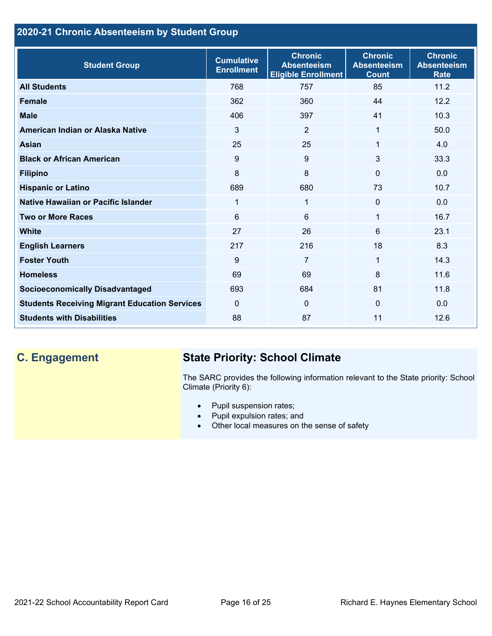# **2020-21 Chronic Absenteeism by Student Group**

| <b>Student Group</b>                                 | <b>Cumulative</b><br><b>Enrollment</b> | <b>Chronic</b><br><b>Absenteeism</b><br><b>Eligible Enrollment</b> | <b>Chronic</b><br><b>Absenteeism</b><br><b>Count</b> | <b>Chronic</b><br><b>Absenteeism</b><br><b>Rate</b> |
|------------------------------------------------------|----------------------------------------|--------------------------------------------------------------------|------------------------------------------------------|-----------------------------------------------------|
| <b>All Students</b>                                  | 768                                    | 757                                                                | 85                                                   | 11.2                                                |
| <b>Female</b>                                        | 362                                    | 360                                                                | 44                                                   | 12.2                                                |
| <b>Male</b>                                          | 406                                    | 397                                                                | 41                                                   | 10.3                                                |
| American Indian or Alaska Native                     | 3                                      | 2                                                                  | 1                                                    | 50.0                                                |
| <b>Asian</b>                                         | 25                                     | 25                                                                 | 1                                                    | 4.0                                                 |
| <b>Black or African American</b>                     | 9                                      | 9                                                                  | 3                                                    | 33.3                                                |
| <b>Filipino</b>                                      | 8                                      | 8                                                                  | $\mathbf{0}$                                         | 0.0                                                 |
| <b>Hispanic or Latino</b>                            | 689                                    | 680                                                                | 73                                                   | 10.7                                                |
| Native Hawaiian or Pacific Islander                  | 1                                      | 1                                                                  | $\mathbf 0$                                          | 0.0                                                 |
| <b>Two or More Races</b>                             | 6                                      | 6                                                                  | 1                                                    | 16.7                                                |
| <b>White</b>                                         | 27                                     | 26                                                                 | 6                                                    | 23.1                                                |
| <b>English Learners</b>                              | 217                                    | 216                                                                | 18                                                   | 8.3                                                 |
| <b>Foster Youth</b>                                  | 9                                      | $\overline{7}$                                                     | 1                                                    | 14.3                                                |
| <b>Homeless</b>                                      | 69                                     | 69                                                                 | 8                                                    | 11.6                                                |
| <b>Socioeconomically Disadvantaged</b>               | 693                                    | 684                                                                | 81                                                   | 11.8                                                |
| <b>Students Receiving Migrant Education Services</b> | $\mathbf{0}$                           | $\Omega$                                                           | $\Omega$                                             | 0.0                                                 |
| <b>Students with Disabilities</b>                    | 88                                     | 87                                                                 | 11                                                   | 12.6                                                |

# **C. Engagement State Priority: School Climate**

The SARC provides the following information relevant to the State priority: School Climate (Priority 6):

- Pupil suspension rates;
- Pupil expulsion rates; and
- Other local measures on the sense of safety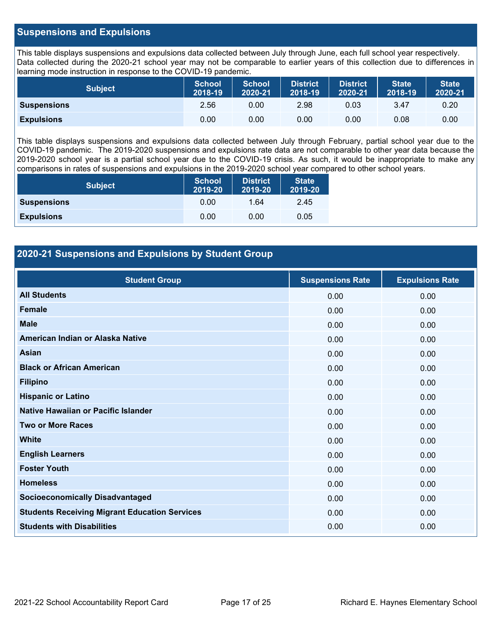#### **Suspensions and Expulsions**

This table displays suspensions and expulsions data collected between July through June, each full school year respectively. Data collected during the 2020-21 school year may not be comparable to earlier years of this collection due to differences in learning mode instruction in response to the COVID-19 pandemic.

| <b>Subject</b>     | <b>School</b><br>2018-19 | <b>School</b><br>2020-21 | <b>District</b><br>2018-19 | <b>District</b><br>2020-21 | <b>State</b><br>2018-19 | <b>State</b><br>2020-21 |
|--------------------|--------------------------|--------------------------|----------------------------|----------------------------|-------------------------|-------------------------|
| <b>Suspensions</b> | 2.56                     | 0.00                     | 2.98                       | 0.03                       | 3.47                    | 0.20                    |
| <b>Expulsions</b>  | 0.00                     | 0.00                     | 0.00                       | 0.00                       | 0.08                    | 0.00                    |

This table displays suspensions and expulsions data collected between July through February, partial school year due to the COVID-19 pandemic. The 2019-2020 suspensions and expulsions rate data are not comparable to other year data because the 2019-2020 school year is a partial school year due to the COVID-19 crisis. As such, it would be inappropriate to make any comparisons in rates of suspensions and expulsions in the 2019-2020 school year compared to other school years.

| <b>Subject</b>     | <b>School</b><br>2019-20 | <b>District</b><br>2019-20 | <b>State</b><br>2019-20 |
|--------------------|--------------------------|----------------------------|-------------------------|
| <b>Suspensions</b> | 0.00                     | 1.64                       | 2.45                    |
| <b>Expulsions</b>  | 0.00                     | 0.00                       | 0.05                    |

## **2020-21 Suspensions and Expulsions by Student Group**

| <b>Student Group</b>                                 | <b>Suspensions Rate</b> | <b>Expulsions Rate</b> |
|------------------------------------------------------|-------------------------|------------------------|
| <b>All Students</b>                                  | 0.00                    | 0.00                   |
| <b>Female</b>                                        | 0.00                    | 0.00                   |
| <b>Male</b>                                          | 0.00                    | 0.00                   |
| American Indian or Alaska Native                     | 0.00                    | 0.00                   |
| <b>Asian</b>                                         | 0.00                    | 0.00                   |
| <b>Black or African American</b>                     | 0.00                    | 0.00                   |
| <b>Filipino</b>                                      | 0.00                    | 0.00                   |
| <b>Hispanic or Latino</b>                            | 0.00                    | 0.00                   |
| Native Hawaiian or Pacific Islander                  | 0.00                    | 0.00                   |
| <b>Two or More Races</b>                             | 0.00                    | 0.00                   |
| <b>White</b>                                         | 0.00                    | 0.00                   |
| <b>English Learners</b>                              | 0.00                    | 0.00                   |
| <b>Foster Youth</b>                                  | 0.00                    | 0.00                   |
| <b>Homeless</b>                                      | 0.00                    | 0.00                   |
| <b>Socioeconomically Disadvantaged</b>               | 0.00                    | 0.00                   |
| <b>Students Receiving Migrant Education Services</b> | 0.00                    | 0.00                   |
| <b>Students with Disabilities</b>                    | 0.00                    | 0.00                   |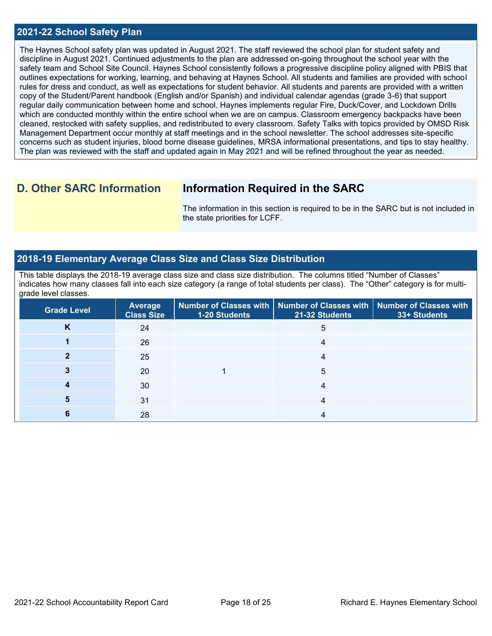#### **2021-22 School Safety Plan**

The Haynes School safety plan was updated in August 2021. The staff reviewed the school plan for student safety and discipline in August 2021. Continued adjustments to the plan are addressed on-going throughout the school year with the safety team and School Site Council. Haynes School consistently follows a progressive discipline policy aligned with PBIS that outlines expectations for working, learning, and behaving at Haynes School. All students and families are provided with school rules for dress and conduct, as well as expectations for student behavior. All students and parents are provided with a written copy of the Student/Parent handbook (English and/or Spanish) and individual calendar agendas (grade 3-6) that support regular daily communication between home and school. Haynes implements regular Fire, Duck/Cover, and Lockdown Drills which are conducted monthly within the entire school when we are on campus. Classroom emergency backpacks have been cleaned, restocked with safety supplies, and redistributed to every classroom. Safety Talks with topics provided by OMSD Risk Management Department occur monthly at staff meetings and in the school newsletter. The school addresses site-specific concerns such as student injuries, blood borne disease guidelines, MRSA informational presentations, and tips to stay healthy. The plan was reviewed with the staff and updated again in May 2021 and will be refined throughout the year as needed.

# **D. Other SARC Information Information Required in the SARC**

The information in this section is required to be in the SARC but is not included in the state priorities for LCFF.

#### **2018-19 Elementary Average Class Size and Class Size Distribution**

This table displays the 2018-19 average class size and class size distribution. The columns titled "Number of Classes" indicates how many classes fall into each size category (a range of total students per class). The "Other" category is for multigrade level classes.

| <b>Grade Level</b> | <b>Average</b><br><b>Class Size</b> | <b>1-20 Students</b> | Number of Classes with $\mid$ Number of Classes with $\mid$ Number of Classes with<br>21-32 Students | 33+ Students |
|--------------------|-------------------------------------|----------------------|------------------------------------------------------------------------------------------------------|--------------|
| Κ                  | 24                                  |                      | 5                                                                                                    |              |
|                    | 26                                  |                      |                                                                                                      |              |
|                    | 25                                  |                      |                                                                                                      |              |
|                    | 20                                  |                      | 5                                                                                                    |              |
|                    | 30                                  |                      |                                                                                                      |              |
|                    | 31                                  |                      | 4                                                                                                    |              |
|                    | 28                                  |                      |                                                                                                      |              |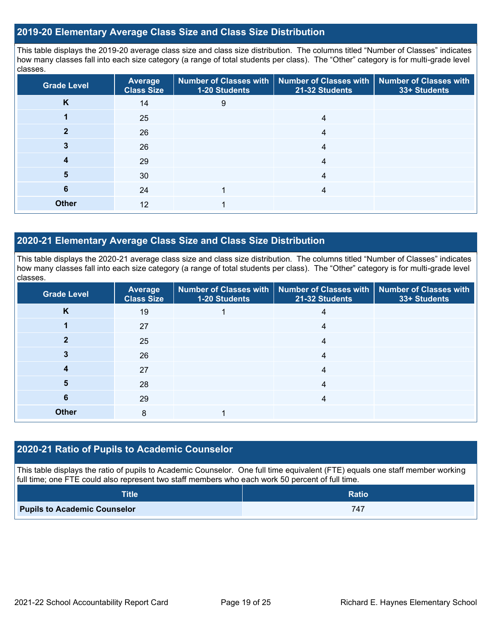#### **2019-20 Elementary Average Class Size and Class Size Distribution**

This table displays the 2019-20 average class size and class size distribution. The columns titled "Number of Classes" indicates how many classes fall into each size category (a range of total students per class). The "Other" category is for multi-grade level classes.

| <b>Grade Level</b> | <b>Average</b><br><b>Class Size</b> | 1-20 Students | Number of Classes with   Number of Classes with   Number of Classes with<br>21-32 Students | 33+ Students |
|--------------------|-------------------------------------|---------------|--------------------------------------------------------------------------------------------|--------------|
| K                  | 14                                  | 9             |                                                                                            |              |
|                    | 25                                  |               | 4                                                                                          |              |
|                    | 26                                  |               | 4                                                                                          |              |
| 3                  | 26                                  |               | 4                                                                                          |              |
| 4                  | 29                                  |               | 4                                                                                          |              |
| 5                  | 30                                  |               | 4                                                                                          |              |
| 6                  | 24                                  |               | 4                                                                                          |              |
| <b>Other</b>       | 12                                  |               |                                                                                            |              |

#### **2020-21 Elementary Average Class Size and Class Size Distribution**

This table displays the 2020-21 average class size and class size distribution. The columns titled "Number of Classes" indicates how many classes fall into each size category (a range of total students per class). The "Other" category is for multi-grade level classes.

| <b>Grade Level</b> | <b>Average</b><br><b>Class Size</b> | 1-20 Students | Number of Classes with   Number of Classes with   Number of Classes with<br>21-32 Students | 33+ Students |
|--------------------|-------------------------------------|---------------|--------------------------------------------------------------------------------------------|--------------|
| K                  | 19                                  |               | 4                                                                                          |              |
|                    | 27                                  |               | 4                                                                                          |              |
| 2                  | 25                                  |               | 4                                                                                          |              |
|                    | 26                                  |               | 4                                                                                          |              |
|                    | 27                                  |               | 4                                                                                          |              |
| 5                  | 28                                  |               | 4                                                                                          |              |
| 6                  | 29                                  |               | 4                                                                                          |              |
| <b>Other</b>       | 8                                   |               |                                                                                            |              |

#### **2020-21 Ratio of Pupils to Academic Counselor**

This table displays the ratio of pupils to Academic Counselor. One full time equivalent (FTE) equals one staff member working full time; one FTE could also represent two staff members who each work 50 percent of full time.

| <b>Title</b>                        | <b>Ratio</b> |
|-------------------------------------|--------------|
| <b>Pupils to Academic Counselor</b> | 747          |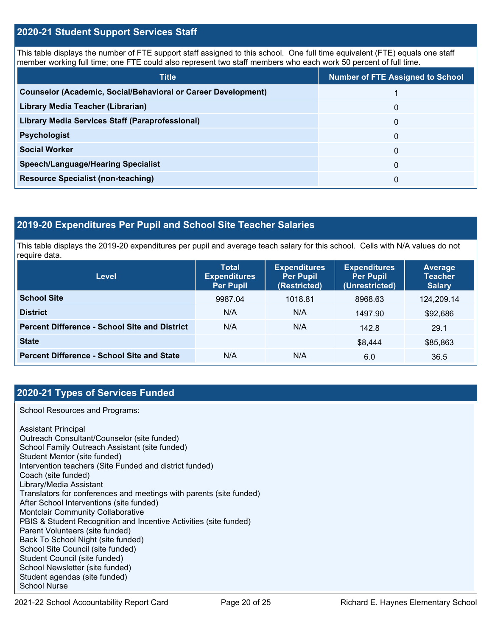#### **2020-21 Student Support Services Staff**

This table displays the number of FTE support staff assigned to this school. One full time equivalent (FTE) equals one staff member working full time; one FTE could also represent two staff members who each work 50 percent of full time.

| <b>Title</b>                                                         | <b>Number of FTE Assigned to School</b> |
|----------------------------------------------------------------------|-----------------------------------------|
| <b>Counselor (Academic, Social/Behavioral or Career Development)</b> |                                         |
| Library Media Teacher (Librarian)                                    | 0                                       |
| <b>Library Media Services Staff (Paraprofessional)</b>               | 0                                       |
| <b>Psychologist</b>                                                  | 0                                       |
| <b>Social Worker</b>                                                 | $\Omega$                                |
| <b>Speech/Language/Hearing Specialist</b>                            | 0                                       |
| <b>Resource Specialist (non-teaching)</b>                            | 0                                       |

#### **2019-20 Expenditures Per Pupil and School Site Teacher Salaries**

This table displays the 2019-20 expenditures per pupil and average teach salary for this school. Cells with N/A values do not require data.

| <b>Level</b>                                         | <b>Total</b><br><b>Expenditures</b><br><b>Per Pupil</b> | <b>Expenditures</b><br><b>Per Pupil</b><br>(Restricted) | <b>Expenditures</b><br><b>Per Pupil</b><br>(Unrestricted) | Average<br><b>Teacher</b><br><b>Salary</b> |
|------------------------------------------------------|---------------------------------------------------------|---------------------------------------------------------|-----------------------------------------------------------|--------------------------------------------|
| <b>School Site</b>                                   | 9987.04                                                 | 1018.81                                                 | 8968.63                                                   | 124,209.14                                 |
| <b>District</b>                                      | N/A                                                     | N/A                                                     | 1497.90                                                   | \$92,686                                   |
| <b>Percent Difference - School Site and District</b> | N/A                                                     | N/A                                                     | 142.8                                                     | 29.1                                       |
| <b>State</b>                                         |                                                         |                                                         | \$8,444                                                   | \$85,863                                   |
| <b>Percent Difference - School Site and State</b>    | N/A                                                     | N/A                                                     | 6.0                                                       | 36.5                                       |

### **2020-21 Types of Services Funded**

School Resources and Programs:

Assistant Principal Outreach Consultant/Counselor (site funded) School Family Outreach Assistant (site funded) Student Mentor (site funded) Intervention teachers (Site Funded and district funded) Coach (site funded) Library/Media Assistant Translators for conferences and meetings with parents (site funded) After School Interventions (site funded) Montclair Community Collaborative PBIS & Student Recognition and Incentive Activities (site funded) Parent Volunteers (site funded) Back To School Night (site funded) School Site Council (site funded) Student Council (site funded) School Newsletter (site funded) Student agendas (site funded) School Nurse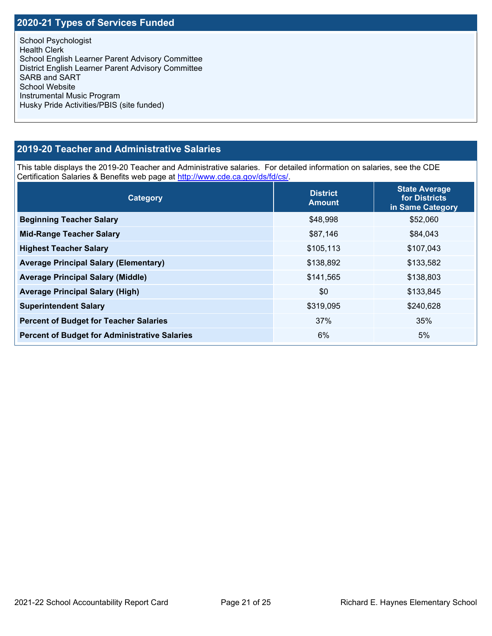# **2020-21 Types of Services Funded**

School Psychologist Health Clerk School English Learner Parent Advisory Committee District English Learner Parent Advisory Committee SARB and SART School Website Instrumental Music Program Husky Pride Activities/PBIS (site funded)

### **2019-20 Teacher and Administrative Salaries**

This table displays the 2019-20 Teacher and Administrative salaries. For detailed information on salaries, see the CDE Certification Salaries & Benefits web page at [http://www.cde.ca.gov/ds/fd/cs/.](http://www.cde.ca.gov/ds/fd/cs/)

| Category                                             | <b>District</b><br><b>Amount</b> | <b>State Average</b><br>for Districts<br>in Same Category |  |
|------------------------------------------------------|----------------------------------|-----------------------------------------------------------|--|
| <b>Beginning Teacher Salary</b>                      | \$48,998                         | \$52,060                                                  |  |
| <b>Mid-Range Teacher Salary</b>                      | \$87,146                         | \$84,043                                                  |  |
| <b>Highest Teacher Salary</b>                        | \$105,113                        | \$107,043                                                 |  |
| <b>Average Principal Salary (Elementary)</b>         | \$138,892                        | \$133,582                                                 |  |
| <b>Average Principal Salary (Middle)</b>             | \$141,565                        | \$138,803                                                 |  |
| <b>Average Principal Salary (High)</b>               | \$0                              | \$133,845                                                 |  |
| <b>Superintendent Salary</b>                         | \$319,095                        | \$240,628                                                 |  |
| <b>Percent of Budget for Teacher Salaries</b>        | 37%                              | 35%                                                       |  |
| <b>Percent of Budget for Administrative Salaries</b> | 6%                               | 5%                                                        |  |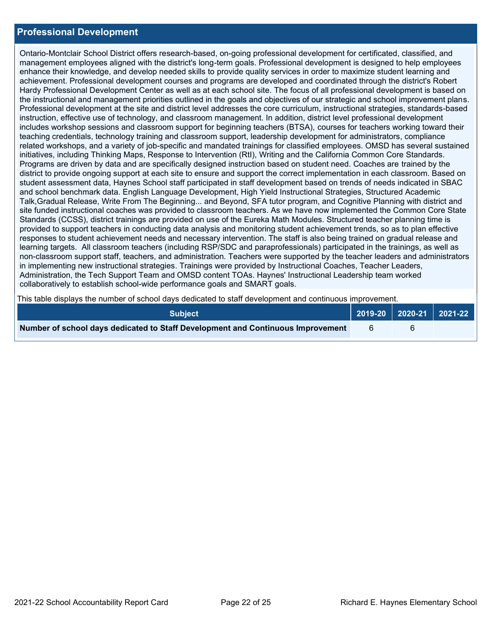#### **Professional Development**

Ontario-Montclair School District offers research-based, on-going professional development for certificated, classified, and management employees aligned with the district's long-term goals. Professional development is designed to help employees enhance their knowledge, and develop needed skills to provide quality services in order to maximize student learning and achievement. Professional development courses and programs are developed and coordinated through the district's Robert Hardy Professional Development Center as well as at each school site. The focus of all professional development is based on the instructional and management priorities outlined in the goals and objectives of our strategic and school improvement plans. Professional development at the site and district level addresses the core curriculum, instructional strategies, standards-based instruction, effective use of technology, and classroom management. In addition, district level professional development includes workshop sessions and classroom support for beginning teachers (BTSA), courses for teachers working toward their teaching credentials, technology training and classroom support, leadership development for administrators, compliance related workshops, and a variety of job-specific and mandated trainings for classified employees. OMSD has several sustained initiatives, including Thinking Maps, Response to Intervention (RtI), Writing and the California Common Core Standards. Programs are driven by data and are specifically designed instruction based on student need. Coaches are trained by the district to provide ongoing support at each site to ensure and support the correct implementation in each classroom. Based on student assessment data, Haynes School staff participated in staff development based on trends of needs indicated in SBAC and school benchmark data. English Language Development, High Yield Instructional Strategies, Structured Academic Talk,Gradual Release, Write From The Beginning... and Beyond, SFA tutor program, and Cognitive Planning with district and site funded instructional coaches was provided to classroom teachers. As we have now implemented the Common Core State Standards (CCSS), district trainings are provided on use of the Eureka Math Modules. Structured teacher planning time is provided to support teachers in conducting data analysis and monitoring student achievement trends, so as to plan effective responses to student achievement needs and necessary intervention. The staff is also being trained on gradual release and learning targets. All classroom teachers (including RSP/SDC and paraprofessionals) participated in the trainings, as well as non-classroom support staff, teachers, and administration. Teachers were supported by the teacher leaders and administrators in implementing new instructional strategies. Trainings were provided by Instructional Coaches, Teacher Leaders, Administration, the Tech Support Team and OMSD content TOAs. Haynes' Instructional Leadership team worked collaboratively to establish school-wide performance goals and SMART goals.

This table displays the number of school days dedicated to staff development and continuous improvement.

| <b>Subject</b>                                                                  |  | $\sqrt{2019-20}$ 2020-21 2021-22 |  |
|---------------------------------------------------------------------------------|--|----------------------------------|--|
| Number of school days dedicated to Staff Development and Continuous Improvement |  |                                  |  |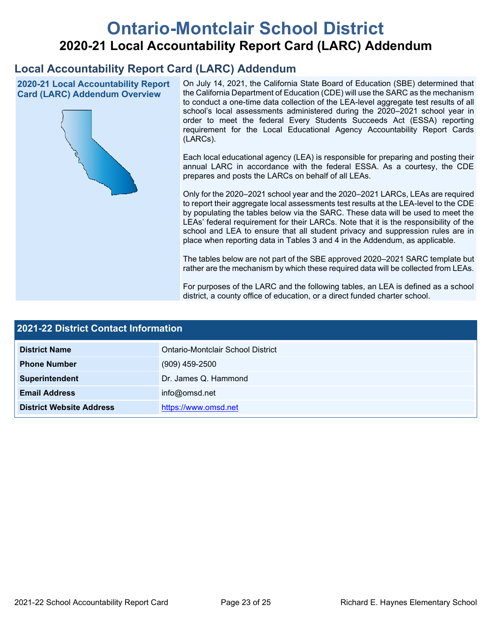# **Ontario-Montclair School District 2020-21 Local Accountability Report Card (LARC) Addendum**

# **Local Accountability Report Card (LARC) Addendum**

**2020-21 Local Accountability Report Card (LARC) Addendum Overview**



On July 14, 2021, the California State Board of Education (SBE) determined that the California Department of Education (CDE) will use the SARC as the mechanism to conduct a one-time data collection of the LEA-level aggregate test results of all school's local assessments administered during the 2020–2021 school year in order to meet the federal Every Students Succeeds Act (ESSA) reporting requirement for the Local Educational Agency Accountability Report Cards (LARCs).

Each local educational agency (LEA) is responsible for preparing and posting their annual LARC in accordance with the federal ESSA. As a courtesy, the CDE prepares and posts the LARCs on behalf of all LEAs.

Only for the 2020–2021 school year and the 2020–2021 LARCs, LEAs are required to report their aggregate local assessments test results at the LEA-level to the CDE by populating the tables below via the SARC. These data will be used to meet the LEAs' federal requirement for their LARCs. Note that it is the responsibility of the school and LEA to ensure that all student privacy and suppression rules are in place when reporting data in Tables 3 and 4 in the Addendum, as applicable.

The tables below are not part of the SBE approved 2020–2021 SARC template but rather are the mechanism by which these required data will be collected from LEAs.

For purposes of the LARC and the following tables, an LEA is defined as a school district, a county office of education, or a direct funded charter school.

| 2021-22 District Contact Information |                                   |  |  |
|--------------------------------------|-----------------------------------|--|--|
| <b>District Name</b>                 | Ontario-Montclair School District |  |  |
| <b>Phone Number</b>                  | $(909)$ 459-2500                  |  |  |
| Superintendent                       | Dr. James Q. Hammond              |  |  |
| <b>Email Address</b>                 | info@omsd.net                     |  |  |
| <b>District Website Address</b>      | https://www.omsd.net              |  |  |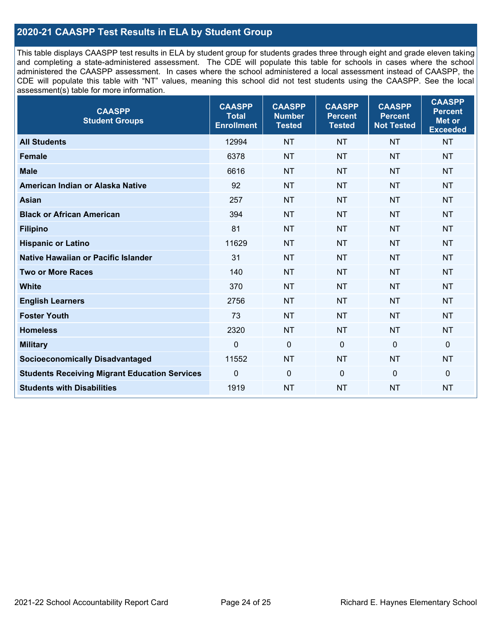# **2020-21 CAASPP Test Results in ELA by Student Group**

This table displays CAASPP test results in ELA by student group for students grades three through eight and grade eleven taking and completing a state-administered assessment. The CDE will populate this table for schools in cases where the school administered the CAASPP assessment. In cases where the school administered a local assessment instead of CAASPP, the CDE will populate this table with "NT" values, meaning this school did not test students using the CAASPP. See the local assessment(s) table for more information.

| <b>CAASPP</b><br><b>Student Groups</b>               | <b>CAASPP</b><br><b>Total</b><br><b>Enrollment</b> | <b>CAASPP</b><br><b>Number</b><br><b>Tested</b> | <b>CAASPP</b><br><b>Percent</b><br><b>Tested</b> | <b>CAASPP</b><br><b>Percent</b><br><b>Not Tested</b> | <b>CAASPP</b><br><b>Percent</b><br>Met or<br><b>Exceeded</b> |
|------------------------------------------------------|----------------------------------------------------|-------------------------------------------------|--------------------------------------------------|------------------------------------------------------|--------------------------------------------------------------|
| <b>All Students</b>                                  | 12994                                              | <b>NT</b>                                       | <b>NT</b>                                        | <b>NT</b>                                            | <b>NT</b>                                                    |
| <b>Female</b>                                        | 6378                                               | <b>NT</b>                                       | <b>NT</b>                                        | <b>NT</b>                                            | <b>NT</b>                                                    |
| <b>Male</b>                                          | 6616                                               | <b>NT</b>                                       | <b>NT</b>                                        | <b>NT</b>                                            | <b>NT</b>                                                    |
| American Indian or Alaska Native                     | 92                                                 | <b>NT</b>                                       | <b>NT</b>                                        | <b>NT</b>                                            | <b>NT</b>                                                    |
| <b>Asian</b>                                         | 257                                                | <b>NT</b>                                       | <b>NT</b>                                        | <b>NT</b>                                            | <b>NT</b>                                                    |
| <b>Black or African American</b>                     | 394                                                | <b>NT</b>                                       | <b>NT</b>                                        | <b>NT</b>                                            | <b>NT</b>                                                    |
| <b>Filipino</b>                                      | 81                                                 | <b>NT</b>                                       | <b>NT</b>                                        | <b>NT</b>                                            | <b>NT</b>                                                    |
| <b>Hispanic or Latino</b>                            | 11629                                              | <b>NT</b>                                       | <b>NT</b>                                        | <b>NT</b>                                            | <b>NT</b>                                                    |
| <b>Native Hawaiian or Pacific Islander</b>           | 31                                                 | <b>NT</b>                                       | <b>NT</b>                                        | <b>NT</b>                                            | <b>NT</b>                                                    |
| <b>Two or More Races</b>                             | 140                                                | <b>NT</b>                                       | <b>NT</b>                                        | <b>NT</b>                                            | <b>NT</b>                                                    |
| <b>White</b>                                         | 370                                                | <b>NT</b>                                       | <b>NT</b>                                        | <b>NT</b>                                            | <b>NT</b>                                                    |
| <b>English Learners</b>                              | 2756                                               | <b>NT</b>                                       | <b>NT</b>                                        | <b>NT</b>                                            | <b>NT</b>                                                    |
| <b>Foster Youth</b>                                  | 73                                                 | <b>NT</b>                                       | <b>NT</b>                                        | <b>NT</b>                                            | <b>NT</b>                                                    |
| <b>Homeless</b>                                      | 2320                                               | <b>NT</b>                                       | <b>NT</b>                                        | <b>NT</b>                                            | <b>NT</b>                                                    |
| <b>Military</b>                                      | $\mathbf 0$                                        | $\mathbf 0$                                     | $\mathbf 0$                                      | $\mathbf 0$                                          | 0                                                            |
| <b>Socioeconomically Disadvantaged</b>               | 11552                                              | <b>NT</b>                                       | <b>NT</b>                                        | <b>NT</b>                                            | <b>NT</b>                                                    |
| <b>Students Receiving Migrant Education Services</b> | 0                                                  | $\mathbf 0$                                     | $\mathbf{0}$                                     | $\mathbf 0$                                          | 0                                                            |
| <b>Students with Disabilities</b>                    | 1919                                               | <b>NT</b>                                       | <b>NT</b>                                        | <b>NT</b>                                            | <b>NT</b>                                                    |